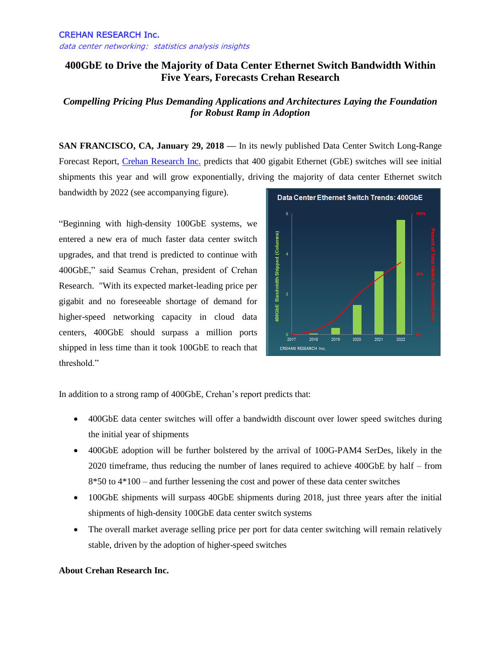## **400GbE to Drive the Majority of Data Center Ethernet Switch Bandwidth Within Five Years, Forecasts Crehan Research**

## *Compelling Pricing Plus Demanding Applications and Architectures Laying the Foundation for Robust Ramp in Adoption*

**SAN FRANCISCO, CA, January 29, 2018 —** In its newly published Data Center Switch Long-Range Forecast Report, [Crehan Research Inc.](http://www.crehanresearch.com/) predicts that 400 gigabit Ethernet (GbE) switches will see initial shipments this year and will grow exponentially, driving the majority of data center Ethernet switch

bandwidth by 2022 (see accompanying figure).

"Beginning with high-density 100GbE systems, we entered a new era of much faster data center switch upgrades, and that trend is predicted to continue with 400GbE," said Seamus Crehan, president of Crehan Research. "With its expected market-leading price per gigabit and no foreseeable shortage of demand for higher-speed networking capacity in cloud data centers, 400GbE should surpass a million ports shipped in less time than it took 100GbE to reach that threshold."



In addition to a strong ramp of 400GbE, Crehan's report predicts that:

- 400GbE data center switches will offer a bandwidth discount over lower speed switches during the initial year of shipments
- 400GbE adoption will be further bolstered by the arrival of 100G-PAM4 SerDes, likely in the 2020 timeframe, thus reducing the number of lanes required to achieve 400GbE by half – from 8\*50 to 4\*100 – and further lessening the cost and power of these data center switches
- 100GbE shipments will surpass 40GbE shipments during 2018, just three years after the initial shipments of high-density 100GbE data center switch systems
- The overall market average selling price per port for data center switching will remain relatively stable, driven by the adoption of higher-speed switches

## **About Crehan Research Inc.**